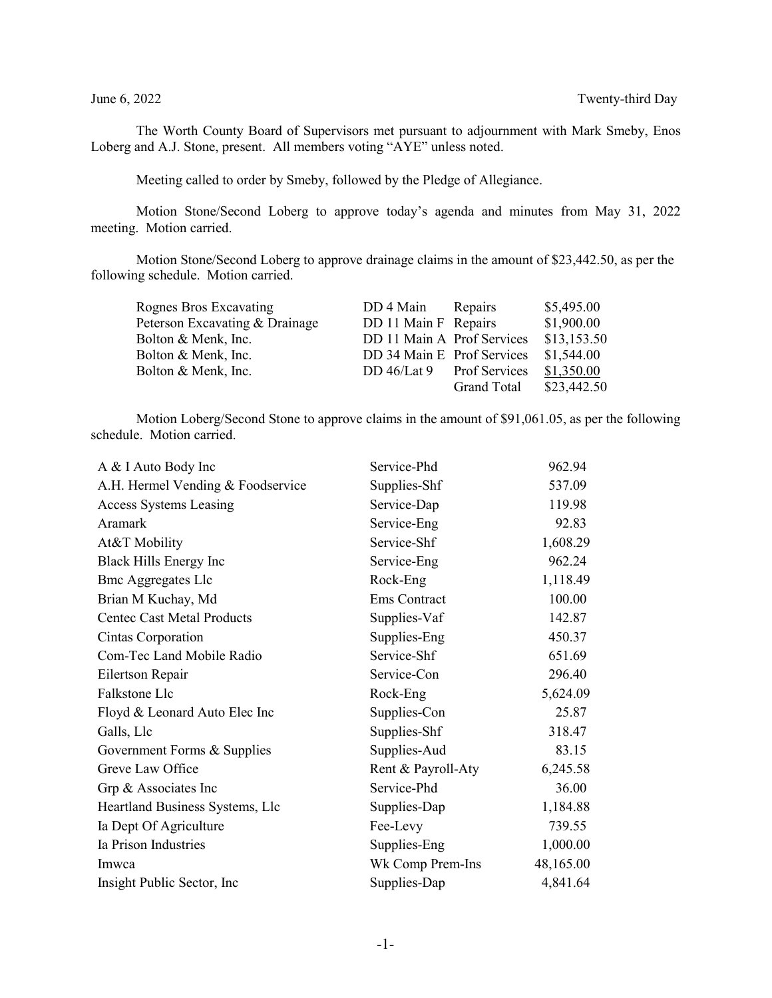The Worth County Board of Supervisors met pursuant to adjournment with Mark Smeby, Enos Loberg and A.J. Stone, present. All members voting "AYE" unless noted.

Meeting called to order by Smeby, followed by the Pledge of Allegiance.

Motion Stone/Second Loberg to approve today's agenda and minutes from May 31, 2022 meeting. Motion carried.

Motion Stone/Second Loberg to approve drainage claims in the amount of \$23,442.50, as per the following schedule. Motion carried.

| Rognes Bros Excavating         | DD 4 Main                  | Repairs     | \$5,495.00  |
|--------------------------------|----------------------------|-------------|-------------|
| Peterson Excavating & Drainage | DD 11 Main F Repairs       |             | \$1,900.00  |
| Bolton & Menk, Inc.            | DD 11 Main A Prof Services |             | \$13,153.50 |
| Bolton & Menk, Inc.            | DD 34 Main E Prof Services |             | \$1,544.00  |
| Bolton & Menk, Inc.            | DD 46/Lat 9 Prof Services  |             | \$1,350.00  |
|                                |                            | Grand Total | \$23,442.50 |

Motion Loberg/Second Stone to approve claims in the amount of \$91,061.05, as per the following schedule. Motion carried.

| A & I Auto Body Inc               | Service-Phd        | 962.94    |
|-----------------------------------|--------------------|-----------|
| A.H. Hermel Vending & Foodservice | Supplies-Shf       | 537.09    |
| <b>Access Systems Leasing</b>     | Service-Dap        | 119.98    |
| Aramark                           | Service-Eng        | 92.83     |
| At&T Mobility                     | Service-Shf        | 1,608.29  |
| Black Hills Energy Inc            | Service-Eng        | 962.24    |
| <b>Bmc Aggregates Llc</b>         | Rock-Eng           | 1,118.49  |
| Brian M Kuchay, Md                | Ems Contract       | 100.00    |
| <b>Centec Cast Metal Products</b> | Supplies-Vaf       | 142.87    |
| Cintas Corporation                | Supplies-Eng       | 450.37    |
| Com-Tec Land Mobile Radio         | Service-Shf        | 651.69    |
| Eilertson Repair                  | Service-Con        | 296.40    |
| Falkstone Llc                     | Rock-Eng           | 5,624.09  |
| Floyd & Leonard Auto Elec Inc     | Supplies-Con       | 25.87     |
| Galls, Llc                        | Supplies-Shf       | 318.47    |
| Government Forms & Supplies       | Supplies-Aud       | 83.15     |
| Greve Law Office                  | Rent & Payroll-Aty | 6,245.58  |
| Grp & Associates Inc              | Service-Phd        | 36.00     |
| Heartland Business Systems, Llc   | Supplies-Dap       | 1,184.88  |
| Ia Dept Of Agriculture            | Fee-Levy           | 739.55    |
| Ia Prison Industries              | Supplies-Eng       | 1,000.00  |
| Imwca                             | Wk Comp Prem-Ins   | 48,165.00 |
| Insight Public Sector, Inc.       | Supplies-Dap       | 4,841.64  |
|                                   |                    |           |